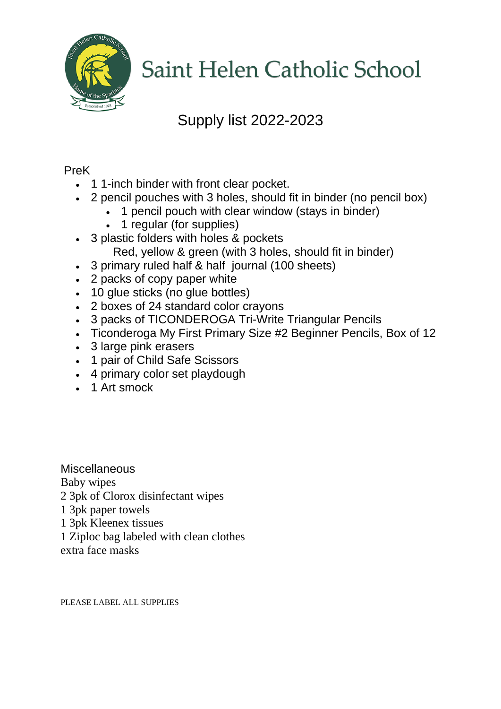

## Supply list 2022-2023

#### PreK

- 1 1-inch binder with front clear pocket.
- 2 pencil pouches with 3 holes, should fit in binder (no pencil box)
	- 1 pencil pouch with clear window (stays in binder)
	- 1 regular (for supplies)
- 3 plastic folders with holes & pockets Red, yellow & green (with 3 holes, should fit in binder)
- 3 primary ruled half & half journal (100 sheets)
- 2 packs of copy paper white
- 10 glue sticks (no glue bottles)
- 2 boxes of 24 standard color crayons
- 3 packs of TICONDEROGA Tri-Write Triangular Pencils
- Ticonderoga My First Primary Size #2 Beginner Pencils, Box of 12
- 3 large pink erasers
- 1 pair of Child Safe Scissors
- 4 primary color set playdough
- 1 Art smock

**Miscellaneous** Baby wipes 2 3pk of Clorox disinfectant wipes 1 3pk paper towels 1 3pk Kleenex tissues 1 Ziploc bag labeled with clean clothes

extra face masks

PLEASE LABEL ALL SUPPLIES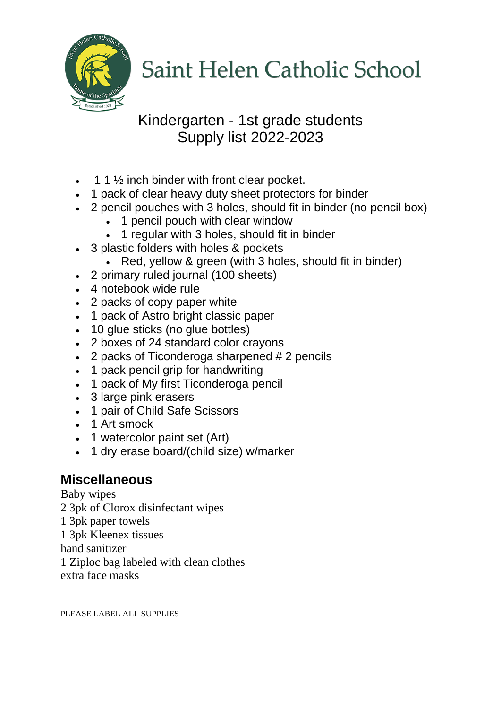

### Kindergarten - 1st grade students Supply list 2022-2023

- 1 1 ½ inch binder with front clear pocket.
- 1 pack of clear heavy duty sheet protectors for binder
- 2 pencil pouches with 3 holes, should fit in binder (no pencil box)
	- 1 pencil pouch with clear window
	- 1 regular with 3 holes, should fit in binder
- 3 plastic folders with holes & pockets
	- Red, yellow & green (with 3 holes, should fit in binder)
- 2 primary ruled journal (100 sheets)
- 4 notebook wide rule
- 2 packs of copy paper white
- 1 pack of Astro bright classic paper
- 10 glue sticks (no glue bottles)
- 2 boxes of 24 standard color crayons
- 2 packs of Ticonderoga sharpened # 2 pencils
- 1 pack pencil grip for handwriting
- 1 pack of My first Ticonderoga pencil
- 3 large pink erasers
- 1 pair of Child Safe Scissors
- 1 Art smock
- 1 watercolor paint set (Art)
- 1 dry erase board/(child size) w/marker

### **Miscellaneous**

Baby wipes

2 3pk of Clorox disinfectant wipes

- 1 3pk paper towels
- 1 3pk Kleenex tissues

hand sanitizer

1 Ziploc bag labeled with clean clothes

extra face masks

PLEASE LABEL ALL SUPPLIES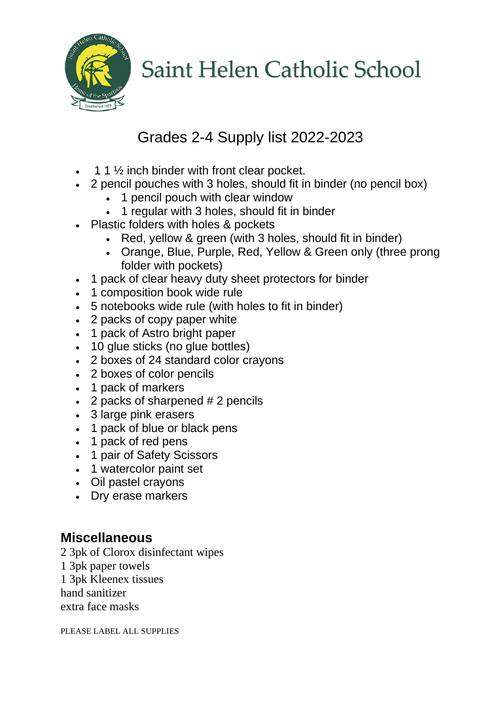

## Grades 2-4 Supply list 2022-2023

- $\cdot$  1 1  $\frac{1}{2}$  inch binder with front clear pocket.
- 2 pencil pouches with 3 holes, should fit in binder (no pencil box)
	- 1 pencil pouch with clear window
	- 1 regular with 3 holes, should fit in binder
- Plastic folders with holes & pockets
	- Red, yellow & green (with 3 holes, should fit in binder)
	- Orange, Blue, Purple, Red, Yellow & Green only (three prong folder with pockets)
- 1 pack of clear heavy duty sheet protectors for binder
- 1 composition book wide rule
- 5 notebooks wide rule (with holes to fit in binder)
- 2 packs of copy paper white
- 1 pack of Astro bright paper
- 10 glue sticks (no glue bottles)
- 2 boxes of 24 standard color crayons
- 2 boxes of color pencils
- 1 pack of markers
- 2 packs of sharpened # 2 pencils
- 3 large pink erasers
- 1 pack of blue or black pens
- 1 pack of red pens
- 1 pair of Safety Scissors
- 1 watercolor paint set
- Oil pastel crayons
- Dry erase markers

### **Miscellaneous**

2 3pk of Clorox disinfectant wipes

- 1 3pk paper towels
- 1 3pk Kleenex tissues

hand sanitizer

extra face masks

PLEASE LABEL ALL SUPPLIES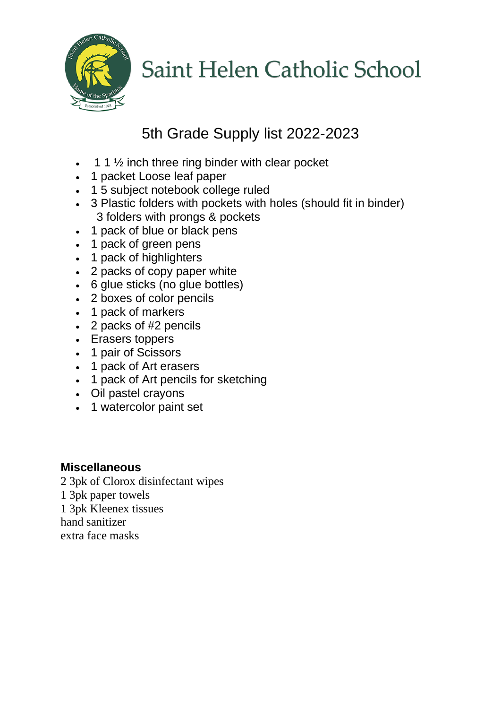

## 5th Grade Supply list 2022-2023

- 1 1 ½ inch three ring binder with clear pocket
- 1 packet Loose leaf paper
- 1 5 subject notebook college ruled
- 3 Plastic folders with pockets with holes (should fit in binder) 3 folders with prongs & pockets
- 1 pack of blue or black pens
- 1 pack of green pens
- 1 pack of highlighters
- 2 packs of copy paper white
- 6 glue sticks (no glue bottles)
- 2 boxes of color pencils
- 1 pack of markers
- 2 packs of #2 pencils
- Erasers toppers
- 1 pair of Scissors
- 1 pack of Art erasers
- 1 pack of Art pencils for sketching
- Oil pastel crayons
- 1 watercolor paint set

#### **Miscellaneous**

- 2 3pk of Clorox disinfectant wipes
- 1 3pk paper towels
- 1 3pk Kleenex tissues

hand sanitizer

extra face masks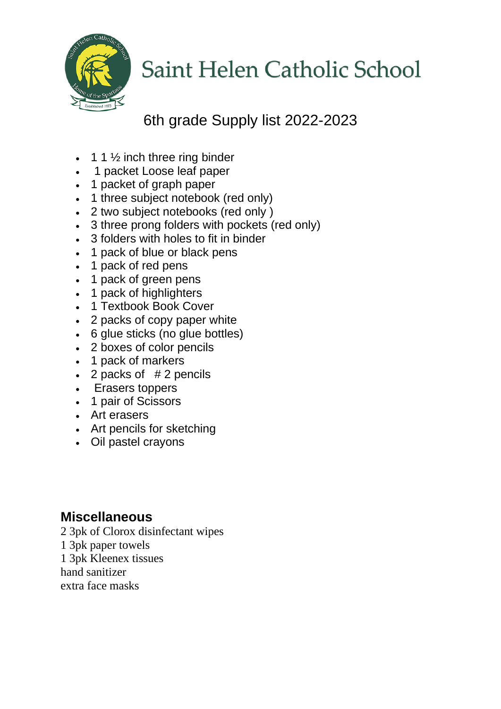

## 6th grade Supply list 2022-2023

- 1 1  $\frac{1}{2}$  inch three ring binder
- 1 packet Loose leaf paper
- 1 packet of graph paper
- 1 three subject notebook (red only)
- 2 two subject notebooks (red only )
- 3 three prong folders with pockets (red only)
- 3 folders with holes to fit in binder
- 1 pack of blue or black pens
- 1 pack of red pens
- 1 pack of green pens
- 1 pack of highlighters
- 1 Textbook Book Cover
- 2 packs of copy paper white
- 6 glue sticks (no glue bottles)
- 2 boxes of color pencils
- 1 pack of markers
- $\cdot$  2 packs of  $# 2$  pencils
- Erasers toppers
- 1 pair of Scissors
- Art erasers
- Art pencils for sketching
- Oil pastel crayons

#### **Miscellaneous**

2 3pk of Clorox disinfectant wipes

- 1 3pk paper towels
- 1 3pk Kleenex tissues

hand sanitizer

extra face masks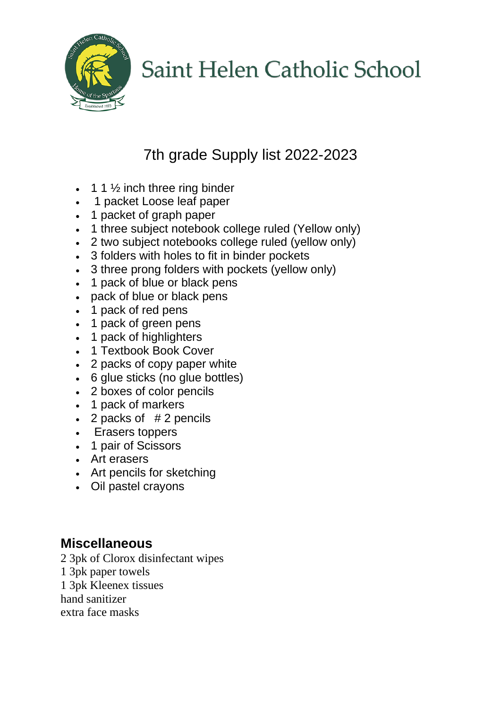

## 7th grade Supply list 2022-2023

- 1 1  $\frac{1}{2}$  inch three ring binder
- 1 packet Loose leaf paper
- 1 packet of graph paper
- 1 three subject notebook college ruled (Yellow only)
- 2 two subject notebooks college ruled (yellow only)
- 3 folders with holes to fit in binder pockets
- 3 three prong folders with pockets (yellow only)
- 1 pack of blue or black pens
- pack of blue or black pens
- 1 pack of red pens
- 1 pack of green pens
- 1 pack of highlighters
- 1 Textbook Book Cover
- 2 packs of copy paper white
- 6 glue sticks (no glue bottles)
- 2 boxes of color pencils
- 1 pack of markers
- 2 packs of  $# 2$  pencils
- Erasers toppers
- 1 pair of Scissors
- Art erasers
- Art pencils for sketching
- Oil pastel crayons

### **Miscellaneous**

2 3pk of Clorox disinfectant wipes

1 3pk paper towels

1 3pk Kleenex tissues

hand sanitizer

extra face masks